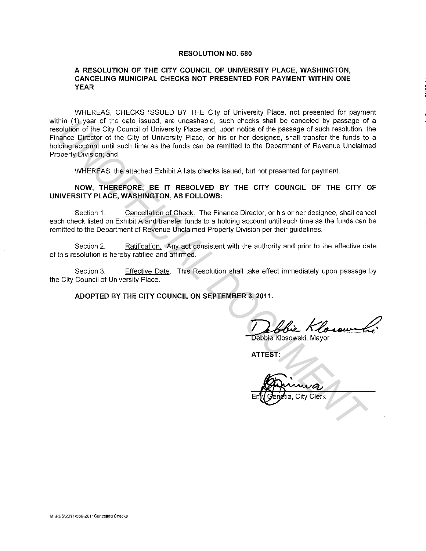#### **RESOLUTION NO. 680**

#### **A RESOLUTION OF THE CITY COUNCIL OF UNIVERSITY PLACE, WASHINGTON, CANCELING MUNICIPAL CHECKS NOT PRESENTED FOR PAYMENT WITHIN ONE YEAR**

WHEREAS, CHECKS ISSUED BY THE City of University Place, not presented for payment within (1) year of the date issued, are uncashable, such checks shall be canceled by passage of a resolution of the City Council of University Place and, upon notice of the passage of such resolution, the Finance Director of the City of University Place, or his or her designee, shall transfer the funds to a holding account until such time as the funds can be remitted to the Department of Revenue Unclaimed Property Division; and thin (1) year of the date issued, are unceshable, such checks shall be canceled by passage of such resolution, the chy Council of University Place and, upon noited of the passage of such resolution, the chy of University P

WHEREAS, the attached Exhibit A lists checks issued, but not presented for payment.

## **NOW, THEREFORE, BE IT RESOLVED BY THE CITY COUNCIL OF THE CITY OF UNIVERSITY PLACE, WASHINGTON, AS FOLLOWS:**

Section 1. Cancellation of Check. The Finance Director, or his or her designee, shall cancel each check listed on Exhibit A and transfer funds to a holding account until such time as the funds can be remitted to the Department of Revenue Unclaimed Property Division per their guidelines.

Section 2. Ratification. Any act consistent with the authority and prior to the effective date of this resolution is hereby ratified and affirmed.

Section 3. Effective Date. This Resolution shall take effect immediately upon passage by the City Council of University Place.

**ADOPTED BY THE CITY COUNCIL ON SEPTEMBER 6, 2011.** 

**..** ~

Debbie Klosowski, Mayor

**ATTEST:**